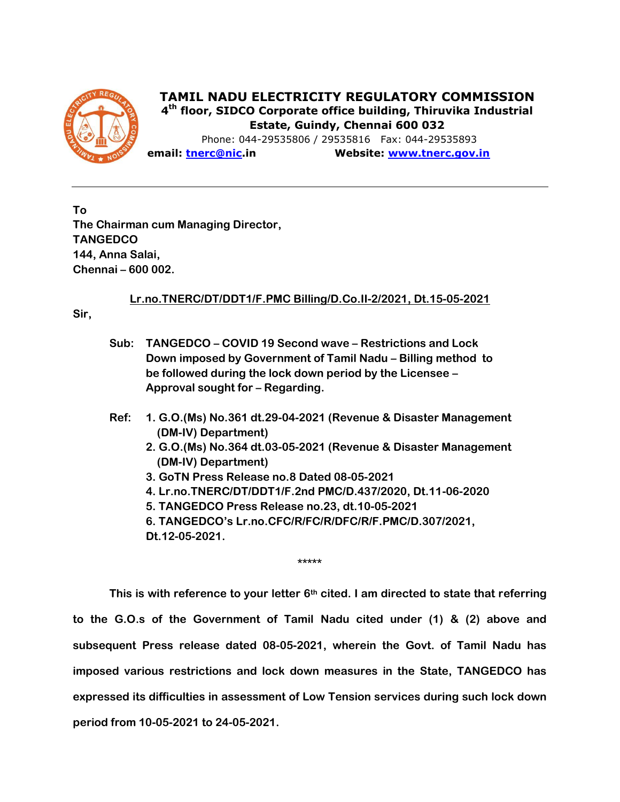

 **TAMIL NADU ELECTRICITY REGULATORY COMMISSION 4 th floor, SIDCO Corporate office building, Thiruvika Industrial Estate, Guindy, Chennai 600 032**

 Phone: 044-29535806 / 29535816 Fax: 044-29535893 **email: [tnerc@nic.](about:blank)in Website: [www.tnerc.gov.in](http://www.tnerc.tn.nic.in/)**

**To The Chairman cum Managing Director, TANGEDCO 144, Anna Salai, Chennai – 600 002.**

**Lr.no.TNERC/DT/DDT1/F.PMC Billing/D.Co.II-2/2021, Dt.15-05-2021**

**Sir,**

- **Sub: TANGEDCO – COVID 19 Second wave – Restrictions and Lock Down imposed by Government of Tamil Nadu – Billing method to be followed during the lock down period by the Licensee – Approval sought for – Regarding.**
- **Ref: 1. G.O.(Ms) No.361 dt.29-04-2021 (Revenue & Disaster Management (DM-IV) Department)**
	- **2. G.O.(Ms) No.364 dt.03-05-2021 (Revenue & Disaster Management (DM-IV) Department)**
	- **3. GoTN Press Release no.8 Dated 08-05-2021**
	- **4. Lr.no.TNERC/DT/DDT1/F.2nd PMC/D.437/2020, Dt.11-06-2020**
	- **5. TANGEDCO Press Release no.23, dt.10-05-2021**
	- **6. TANGEDCO's Lr.no.CFC/R/FC/R/DFC/R/F.PMC/D.307/2021,**

**\*\*\*\*\***

**Dt.12-05-2021.**

**This is with reference to your letter 6th cited. I am directed to state that referring to the G.O.s of the Government of Tamil Nadu cited under (1) & (2) above and subsequent Press release dated 08-05-2021, wherein the Govt. of Tamil Nadu has imposed various restrictions and lock down measures in the State, TANGEDCO has expressed its difficulties in assessment of Low Tension services during such lock down period from 10-05-2021 to 24-05-2021.**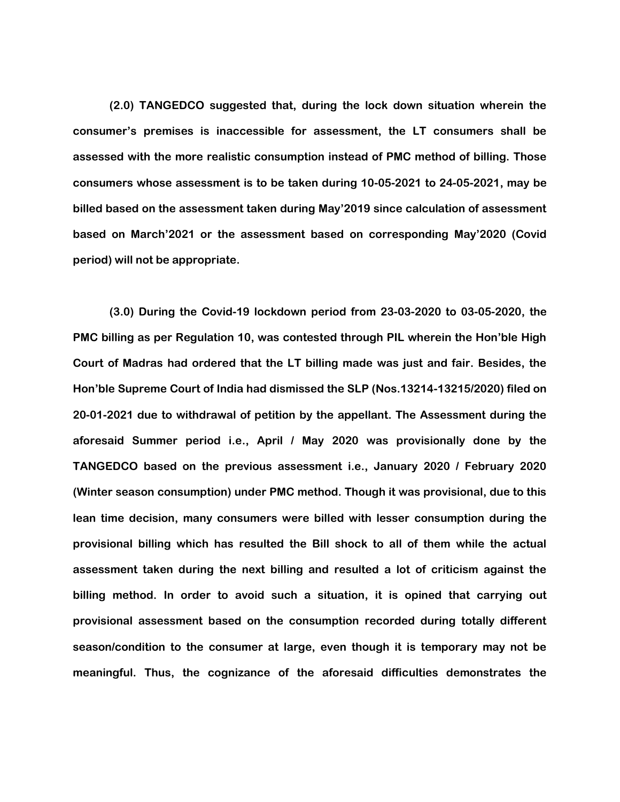**(2.0) TANGEDCO suggested that, during the lock down situation wherein the consumer's premises is inaccessible for assessment, the LT consumers shall be assessed with the more realistic consumption instead of PMC method of billing. Those consumers whose assessment is to be taken during 10-05-2021 to 24-05-2021, may be billed based on the assessment taken during May'2019 since calculation of assessment based on March'2021 or the assessment based on corresponding May'2020 (Covid period) will not be appropriate.**

**(3.0) During the Covid-19 lockdown period from 23-03-2020 to 03-05-2020, the PMC billing as per Regulation 10, was contested through PIL wherein the Hon'ble High Court of Madras had ordered that the LT billing made was just and fair. Besides, the Hon'ble Supreme Court of India had dismissed the SLP (Nos.13214-13215/2020) filed on 20-01-2021 due to withdrawal of petition by the appellant. The Assessment during the aforesaid Summer period i.e., April / May 2020 was provisionally done by the TANGEDCO based on the previous assessment i.e., January 2020 / February 2020 (Winter season consumption) under PMC method. Though it was provisional, due to this lean time decision, many consumers were billed with lesser consumption during the provisional billing which has resulted the Bill shock to all of them while the actual assessment taken during the next billing and resulted a lot of criticism against the billing method. In order to avoid such a situation, it is opined that carrying out provisional assessment based on the consumption recorded during totally different season/condition to the consumer at large, even though it is temporary may not be meaningful. Thus, the cognizance of the aforesaid difficulties demonstrates the**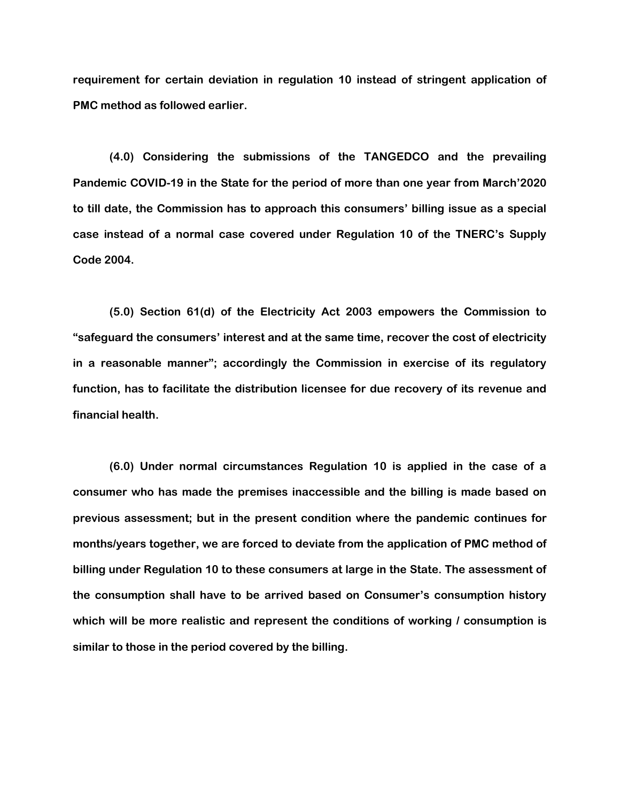**requirement for certain deviation in regulation 10 instead of stringent application of PMC method as followed earlier.**

**(4.0) Considering the submissions of the TANGEDCO and the prevailing Pandemic COVID-19 in the State for the period of more than one year from March'2020 to till date, the Commission has to approach this consumers' billing issue as a special case instead of a normal case covered under Regulation 10 of the TNERC's Supply Code 2004.**

**(5.0) Section 61(d) of the Electricity Act 2003 empowers the Commission to "safeguard the consumers' interest and at the same time, recover the cost of electricity in a reasonable manner"; accordingly the Commission in exercise of its regulatory function, has to facilitate the distribution licensee for due recovery of its revenue and financial health.** 

**(6.0) Under normal circumstances Regulation 10 is applied in the case of a consumer who has made the premises inaccessible and the billing is made based on previous assessment; but in the present condition where the pandemic continues for months/years together, we are forced to deviate from the application of PMC method of billing under Regulation 10 to these consumers at large in the State. The assessment of the consumption shall have to be arrived based on Consumer's consumption history which will be more realistic and represent the conditions of working / consumption is similar to those in the period covered by the billing.**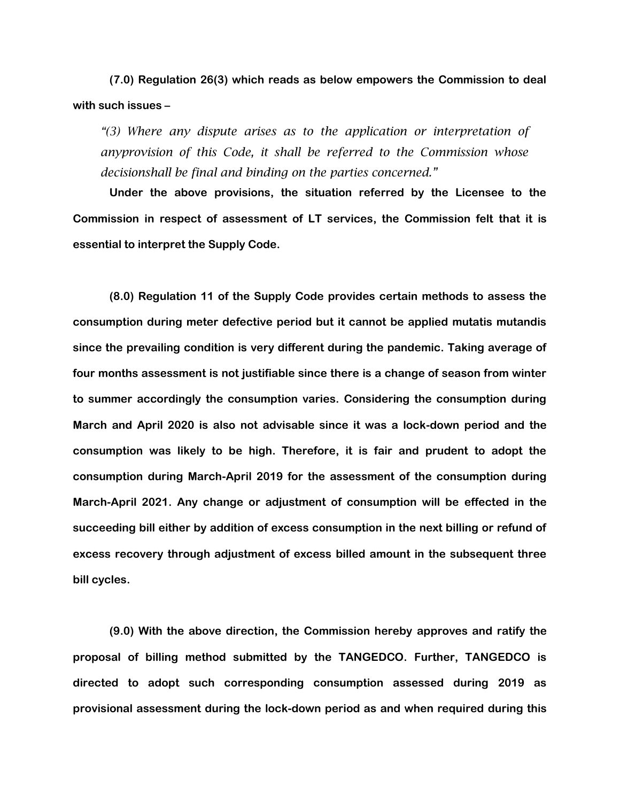**(7.0) Regulation 26(3) which reads as below empowers the Commission to deal with such issues –**

*"(3) Where any dispute arises as to the application or interpretation of anyprovision of this Code, it shall be referred to the Commission whose decisionshall be final and binding on the parties concerned."*

**Under the above provisions, the situation referred by the Licensee to the Commission in respect of assessment of LT services, the Commission felt that it is essential to interpret the Supply Code.** 

**(8.0) Regulation 11 of the Supply Code provides certain methods to assess the consumption during meter defective period but it cannot be applied mutatis mutandis since the prevailing condition is very different during the pandemic. Taking average of four months assessment is not justifiable since there is a change of season from winter to summer accordingly the consumption varies. Considering the consumption during March and April 2020 is also not advisable since it was a lock-down period and the consumption was likely to be high. Therefore, it is fair and prudent to adopt the consumption during March-April 2019 for the assessment of the consumption during March-April 2021. Any change or adjustment of consumption will be effected in the succeeding bill either by addition of excess consumption in the next billing or refund of excess recovery through adjustment of excess billed amount in the subsequent three bill cycles.**

**(9.0) With the above direction, the Commission hereby approves and ratify the proposal of billing method submitted by the TANGEDCO. Further, TANGEDCO is directed to adopt such corresponding consumption assessed during 2019 as provisional assessment during the lock-down period as and when required during this**